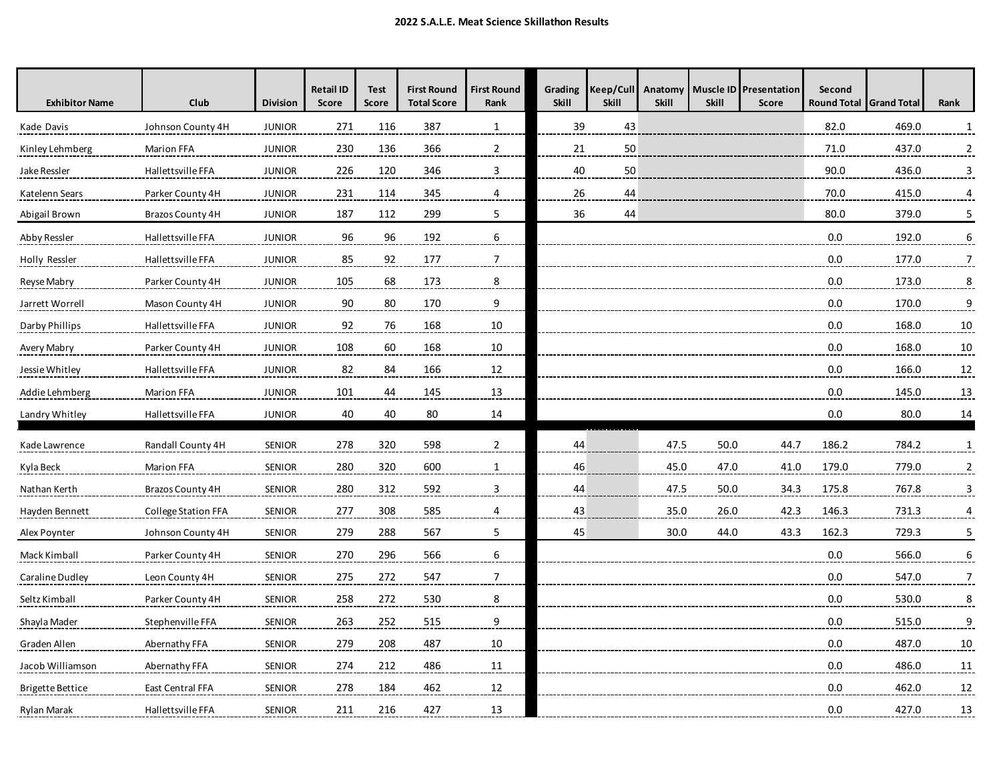| <b>Exhibitor Name</b> | <b>Club</b>         | <b>Division</b> | <b>Retail ID</b><br><b>Score</b> | <b>Test</b><br><b>Score</b> | <b>First Round</b><br><b>Total Score</b> | <b>First Round</b><br>Rank | Grading<br><b>Skill</b> | Keep/Cull<br><b>Skill</b> | Anatomy<br><b>Skill</b> | <b>Skill</b> | Muscle ID Presentation<br><b>Score</b> | Second<br><b>Round Total</b> | <b>Grand Total</b> | Rank           |
|-----------------------|---------------------|-----------------|----------------------------------|-----------------------------|------------------------------------------|----------------------------|-------------------------|---------------------------|-------------------------|--------------|----------------------------------------|------------------------------|--------------------|----------------|
| Kade Davis            | Johnson County 4H   | <b>JUNIOR</b>   | 271                              | 116                         | 387                                      | $\mathbf{1}$               | 39                      | 43                        |                         |              |                                        | 82.0                         | 469.0              | 1              |
| Kinley Lehmberg       | <b>Marion FFA</b>   | <b>JUNIOR</b>   | 230                              | 136                         | 366                                      | $\overline{2}$             | 21                      | 50                        |                         |              |                                        | 71.0                         | 437.0              | $\overline{2}$ |
| Jake Ressler          | Hallettsville FFA   | <b>JUNIOR</b>   | 226                              | 120                         | 346                                      | 3                          | 40                      | 50                        |                         |              |                                        | 90.0                         | 436.0              | 3              |
| Katelenn Sears        | Parker County 4H    | <b>JUNIOR</b>   | 231                              | 114                         | 345                                      | 4                          | 26                      | 44                        |                         |              |                                        | 70.0                         | 415.0              | 4              |
| Abigail Brown         | Brazos County 4H    | <b>JUNIOR</b>   | 187                              | 112                         | 299                                      | 5                          | 36                      | 44                        |                         |              |                                        | 80.0                         | 379.0              | 5              |
| Abby Ressler          | Hallettsville FFA   | <b>JUNIOR</b>   | 96                               | 96                          | 192                                      | 6                          |                         |                           |                         |              |                                        | 0.0                          | 192.0              | 6              |
| Holly Ressler         | Hallettsville FFA   | <b>JUNIOR</b>   | 85                               | 92                          | 177                                      | $\overline{7}$             |                         |                           |                         |              |                                        | 0.0                          | 177.0              | $\overline{7}$ |
| Reyse Mabry           | Parker County 4H    | <b>JUNIOR</b>   | 105                              | 68                          | 173                                      | 8                          |                         |                           |                         |              |                                        | 0.0                          | 173.0              | 8              |
| Jarrett Worrell       | Mason County 4H     | <b>JUNIOR</b>   | 90                               | 80                          | 170                                      | 9                          |                         |                           |                         |              |                                        | 0.0                          | 170.0              | $\overline{9}$ |
| Darby Phillips        | Hallettsville FFA   | <b>JUNIOR</b>   | 92                               | 76                          | 168                                      | 10                         |                         |                           |                         |              |                                        | 0.0                          | 168.0              | 10             |
| Avery Mabry           | Parker County 4H    | <b>JUNIOR</b>   | 108                              | 60                          | 168                                      | $10\,$                     |                         |                           |                         |              |                                        | 0.0                          | 168.0              | 10             |
| Jessie Whitley        | Hallettsville FFA   | <b>JUNIOR</b>   | 82                               | 84                          | 166                                      | 12                         |                         |                           |                         |              |                                        | 0.0                          | 166.0              | 12             |
| Addie Lehmberg        | <b>Marion FFA</b>   | <b>JUNIOR</b>   | 101                              | 44                          | 145                                      | 13                         |                         |                           |                         |              |                                        | 0.0                          | 145.0              | 13             |
| Landry Whitley        | Hallettsville FFA   | <b>JUNIOR</b>   | 40                               | 40                          | 80                                       | 14                         |                         |                           |                         |              |                                        | 0.0                          | 80.0               | 14             |
| Kade Lawrence         | Randall County 4H   | <b>SENIOR</b>   | 278                              | 320                         | 598                                      | $\overline{2}$             | 44                      |                           | 47.5                    | 50.0         | 44.7                                   | 186.2                        | 784.2              | $\mathbf{1}$   |
| Kyla Beck             | <b>Marion FFA</b>   | <b>SENIOR</b>   | 280                              | 320                         | 600                                      | $\mathbf{1}$               | 46                      |                           | 45.0                    | 47.0         | 41.0                                   | 179.0                        | 779.0              | $\overline{2}$ |
| Nathan Kerth          | Brazos County 4H    | <b>SENIOR</b>   | 280                              | 312                         | 592                                      | 3                          | 44                      |                           | 47.5                    | 50.0         | 34.3                                   | 175.8                        | 767.8              | 3              |
| Hayden Bennett        | College Station FFA | <b>SENIOR</b>   | 277                              | 308                         | 585                                      | 4                          | 43                      |                           | 35.0                    | 26.0         | 42.3                                   | 146.3                        | 731.3              | 4              |
| Alex Poynter          | Johnson County 4H   | <b>SENIOR</b>   | 279                              | 288                         | 567                                      | 5                          | 45                      |                           | 30.0                    | 44.0         | 43.3                                   | 162.3                        | 729.3              | 5              |
| Mack Kimball          | Parker County 4H    | <b>SENIOR</b>   | 270                              | 296                         | 566                                      | 6                          |                         |                           |                         |              |                                        | 0.0                          | 566.0              | 6              |
| Caraline Dudley       | Leon County 4H      | <b>SENIOR</b>   | 275                              | 272                         | 547                                      | $\overline{7}$             |                         |                           |                         |              |                                        | 0.0                          | 547.0              | $\overline{7}$ |
| Seltz Kimball         | Parker County 4H    | <b>SENIOR</b>   | 258                              | 272                         | 530                                      | 8                          |                         |                           |                         |              |                                        | 0.0                          | 530.0              | 8              |
| Shayla Mader          | Stephenville FFA    | <b>SENIOR</b>   | 263                              | 252                         | 515                                      | 9                          |                         |                           |                         |              |                                        | 0.0                          | 515.0              | 9              |
| Graden Allen          | Abernathy FFA       | <b>SENIOR</b>   | 279                              | 208                         | 487                                      | 10                         |                         |                           |                         |              |                                        | 0.0                          | 487.0              | 10             |
| Jacob Williamson      | Abernathy FFA       | <b>SENIOR</b>   | 274                              | 212                         | 486                                      | 11                         |                         |                           |                         |              |                                        | 0.0                          | 486.0              | 11             |
| Brigette Bettice      | East Central FFA    | <b>SENIOR</b>   | 278                              | 184                         | 462                                      | 12                         |                         |                           |                         |              |                                        | 0.0                          | 462.0              | 12             |
| Rylan Marak           | Hallettsville FFA   | <b>SENIOR</b>   | 211                              | 216                         | 427                                      | 13                         |                         |                           |                         |              |                                        | 0.0                          | 427.0              | 13             |